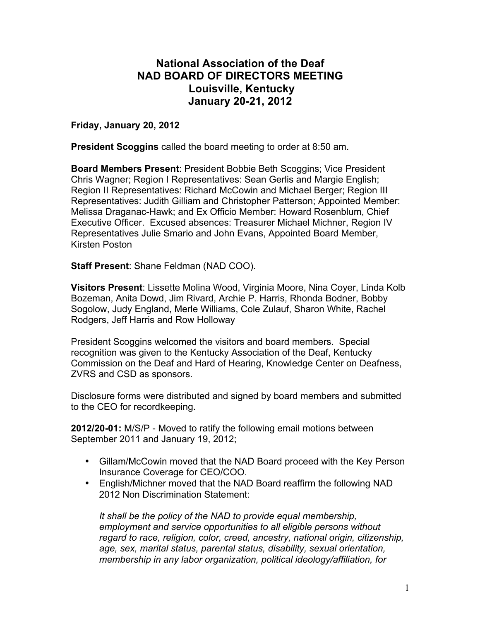## **National Association of the Deaf NAD BOARD OF DIRECTORS MEETING Louisville, Kentucky January 20-21, 2012**

**Friday, January 20, 2012**

**President Scoggins** called the board meeting to order at 8:50 am.

**Board Members Present**: President Bobbie Beth Scoggins; Vice President Chris Wagner; Region I Representatives: Sean Gerlis and Margie English; Region II Representatives: Richard McCowin and Michael Berger; Region III Representatives: Judith Gilliam and Christopher Patterson; Appointed Member: Melissa Draganac-Hawk; and Ex Officio Member: Howard Rosenblum, Chief Executive Officer. Excused absences: Treasurer Michael Michner, Region IV Representatives Julie Smario and John Evans, Appointed Board Member, Kirsten Poston

**Staff Present**: Shane Feldman (NAD COO).

**Visitors Present**: Lissette Molina Wood, Virginia Moore, Nina Coyer, Linda Kolb Bozeman, Anita Dowd, Jim Rivard, Archie P. Harris, Rhonda Bodner, Bobby Sogolow, Judy England, Merle Williams, Cole Zulauf, Sharon White, Rachel Rodgers, Jeff Harris and Row Holloway

President Scoggins welcomed the visitors and board members. Special recognition was given to the Kentucky Association of the Deaf, Kentucky Commission on the Deaf and Hard of Hearing, Knowledge Center on Deafness, ZVRS and CSD as sponsors.

Disclosure forms were distributed and signed by board members and submitted to the CEO for recordkeeping.

**2012/20-01:** M/S/P - Moved to ratify the following email motions between September 2011 and January 19, 2012;

- Gillam/McCowin moved that the NAD Board proceed with the Key Person Insurance Coverage for CEO/COO.
- English/Michner moved that the NAD Board reaffirm the following NAD 2012 Non Discrimination Statement:

*It shall be the policy of the NAD to provide equal membership, employment and service opportunities to all eligible persons without regard to race, religion, color, creed, ancestry, national origin, citizenship, age, sex, marital status, parental status, disability, sexual orientation, membership in any labor organization, political ideology/affiliation, for*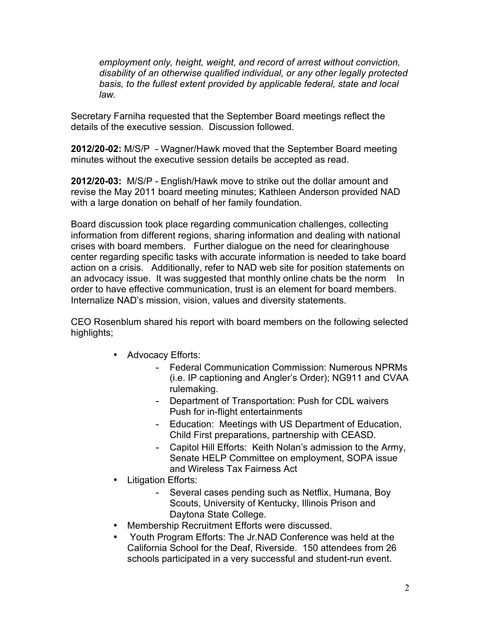*employment only, height, weight, and record of arrest without conviction, disability of an otherwise qualified individual, or any other legally protected basis, to the fullest extent provided by applicable federal, state and local law.*

Secretary Farniha requested that the September Board meetings reflect the details of the executive session. Discussion followed.

**2012/20-02:** M/S/P - Wagner/Hawk moved that the September Board meeting minutes without the executive session details be accepted as read.

**2012/20-03:** M/S/P - English/Hawk move to strike out the dollar amount and revise the May 2011 board meeting minutes; Kathleen Anderson provided NAD with a large donation on behalf of her family foundation.

Board discussion took place regarding communication challenges, collecting information from different regions, sharing information and dealing with national crises with board members. Further dialogue on the need for clearinghouse center regarding specific tasks with accurate information is needed to take board action on a crisis. Additionally, refer to NAD web site for position statements on an advocacy issue. It was suggested that monthly online chats be the norm In order to have effective communication, trust is an element for board members. Internalize NAD's mission, vision, values and diversity statements.

CEO Rosenblum shared his report with board members on the following selected highlights;

- Advocacy Efforts:
	- Federal Communication Commission: Numerous NPRMs (i.e. IP captioning and Angler's Order); NG911 and CVAA rulemaking.
	- Department of Transportation: Push for CDL waivers Push for in-flight entertainments
	- Education: Meetings with US Department of Education, Child First preparations, partnership with CEASD.
	- Capitol Hill Efforts: Keith Nolan's admission to the Army, Senate HELP Committee on employment, SOPA issue and Wireless Tax Fairness Act
- Litigation Efforts:
	- Several cases pending such as Netflix, Humana, Boy Scouts, University of Kentucky, Illinois Prison and Daytona State College.
- Membership Recruitment Efforts were discussed.
- Youth Program Efforts: The Jr.NAD Conference was held at the California School for the Deaf, Riverside. 150 attendees from 26 schools participated in a very successful and student-run event.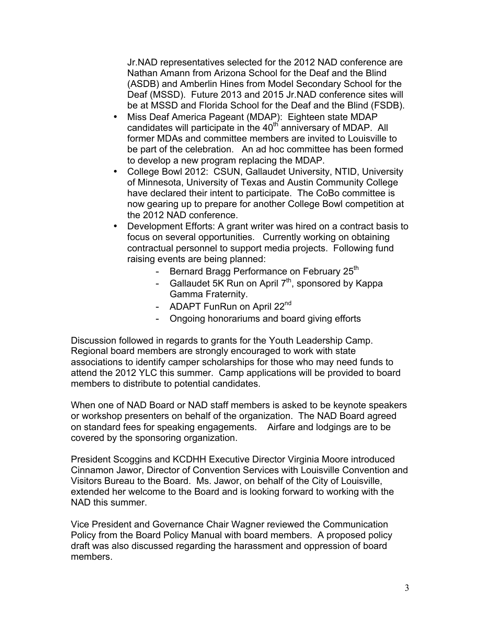Jr.NAD representatives selected for the 2012 NAD conference are Nathan Amann from Arizona School for the Deaf and the Blind (ASDB) and Amberlin Hines from Model Secondary School for the Deaf (MSSD). Future 2013 and 2015 Jr.NAD conference sites will be at MSSD and Florida School for the Deaf and the Blind (FSDB).

- Miss Deaf America Pageant (MDAP): Eighteen state MDAP candidates will participate in the 40<sup>th</sup> anniversary of MDAP. All former MDAs and committee members are invited to Louisville to be part of the celebration. An ad hoc committee has been formed to develop a new program replacing the MDAP.
- College Bowl 2012: CSUN, Gallaudet University, NTID, University of Minnesota, University of Texas and Austin Community College have declared their intent to participate. The CoBo committee is now gearing up to prepare for another College Bowl competition at the 2012 NAD conference.
- Development Efforts: A grant writer was hired on a contract basis to focus on several opportunities. Currently working on obtaining contractual personnel to support media projects. Following fund raising events are being planned:
	- Bernard Bragg Performance on February 25<sup>th</sup>
	- Gallaudet 5K Run on April  $7<sup>th</sup>$ , sponsored by Kappa Gamma Fraternity.
	- ADAPT FunRun on April 22<sup>nd</sup>
	- Ongoing honorariums and board giving efforts

Discussion followed in regards to grants for the Youth Leadership Camp. Regional board members are strongly encouraged to work with state associations to identify camper scholarships for those who may need funds to attend the 2012 YLC this summer. Camp applications will be provided to board members to distribute to potential candidates.

When one of NAD Board or NAD staff members is asked to be keynote speakers or workshop presenters on behalf of the organization. The NAD Board agreed on standard fees for speaking engagements. Airfare and lodgings are to be covered by the sponsoring organization.

President Scoggins and KCDHH Executive Director Virginia Moore introduced Cinnamon Jawor, Director of Convention Services with Louisville Convention and Visitors Bureau to the Board. Ms. Jawor, on behalf of the City of Louisville, extended her welcome to the Board and is looking forward to working with the NAD this summer.

Vice President and Governance Chair Wagner reviewed the Communication Policy from the Board Policy Manual with board members. A proposed policy draft was also discussed regarding the harassment and oppression of board members.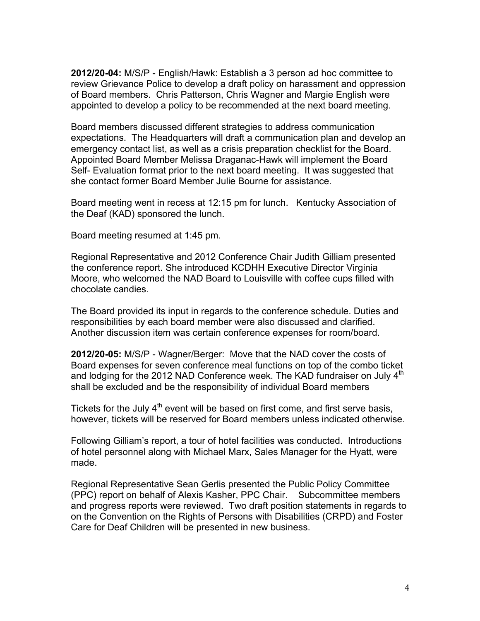**2012/20-04:** M/S/P - English/Hawk: Establish a 3 person ad hoc committee to review Grievance Police to develop a draft policy on harassment and oppression of Board members. Chris Patterson, Chris Wagner and Margie English were appointed to develop a policy to be recommended at the next board meeting.

Board members discussed different strategies to address communication expectations. The Headquarters will draft a communication plan and develop an emergency contact list, as well as a crisis preparation checklist for the Board. Appointed Board Member Melissa Draganac-Hawk will implement the Board Self- Evaluation format prior to the next board meeting. It was suggested that she contact former Board Member Julie Bourne for assistance.

Board meeting went in recess at 12:15 pm for lunch. Kentucky Association of the Deaf (KAD) sponsored the lunch.

Board meeting resumed at 1:45 pm.

Regional Representative and 2012 Conference Chair Judith Gilliam presented the conference report. She introduced KCDHH Executive Director Virginia Moore, who welcomed the NAD Board to Louisville with coffee cups filled with chocolate candies.

The Board provided its input in regards to the conference schedule. Duties and responsibilities by each board member were also discussed and clarified. Another discussion item was certain conference expenses for room/board.

**2012/20-05:** M/S/P - Wagner/Berger: Move that the NAD cover the costs of Board expenses for seven conference meal functions on top of the combo ticket and lodging for the 2012 NAD Conference week. The KAD fundraiser on July 4<sup>th</sup> shall be excluded and be the responsibility of individual Board members

Tickets for the July  $4<sup>th</sup>$  event will be based on first come, and first serve basis, however, tickets will be reserved for Board members unless indicated otherwise.

Following Gilliam's report, a tour of hotel facilities was conducted. Introductions of hotel personnel along with Michael Marx, Sales Manager for the Hyatt, were made.

Regional Representative Sean Gerlis presented the Public Policy Committee (PPC) report on behalf of Alexis Kasher, PPC Chair. Subcommittee members and progress reports were reviewed. Two draft position statements in regards to on the Convention on the Rights of Persons with Disabilities (CRPD) and Foster Care for Deaf Children will be presented in new business.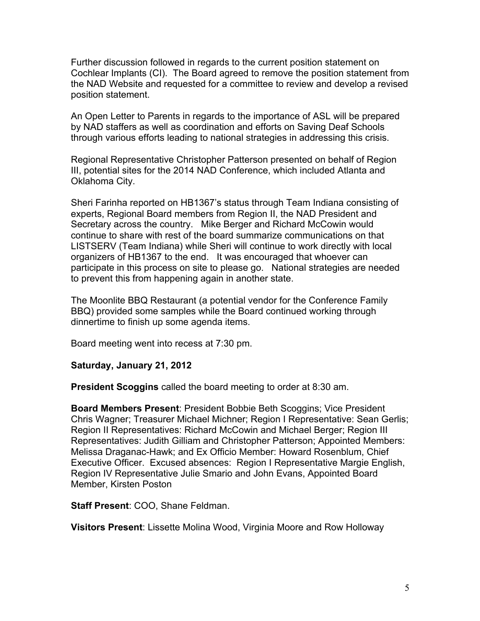Further discussion followed in regards to the current position statement on Cochlear Implants (CI). The Board agreed to remove the position statement from the NAD Website and requested for a committee to review and develop a revised position statement.

An Open Letter to Parents in regards to the importance of ASL will be prepared by NAD staffers as well as coordination and efforts on Saving Deaf Schools through various efforts leading to national strategies in addressing this crisis.

Regional Representative Christopher Patterson presented on behalf of Region III, potential sites for the 2014 NAD Conference, which included Atlanta and Oklahoma City.

Sheri Farinha reported on HB1367's status through Team Indiana consisting of experts, Regional Board members from Region II, the NAD President and Secretary across the country. Mike Berger and Richard McCowin would continue to share with rest of the board summarize communications on that LISTSERV (Team Indiana) while Sheri will continue to work directly with local organizers of HB1367 to the end. It was encouraged that whoever can participate in this process on site to please go. National strategies are needed to prevent this from happening again in another state.

The Moonlite BBQ Restaurant (a potential vendor for the Conference Family BBQ) provided some samples while the Board continued working through dinnertime to finish up some agenda items.

Board meeting went into recess at 7:30 pm.

**Saturday, January 21, 2012**

**President Scoggins** called the board meeting to order at 8:30 am.

**Board Members Present**: President Bobbie Beth Scoggins; Vice President Chris Wagner; Treasurer Michael Michner; Region I Representative: Sean Gerlis; Region II Representatives: Richard McCowin and Michael Berger; Region III Representatives: Judith Gilliam and Christopher Patterson; Appointed Members: Melissa Draganac-Hawk; and Ex Officio Member: Howard Rosenblum, Chief Executive Officer. Excused absences: Region I Representative Margie English, Region IV Representative Julie Smario and John Evans, Appointed Board Member, Kirsten Poston

**Staff Present**: COO, Shane Feldman.

**Visitors Present**: Lissette Molina Wood, Virginia Moore and Row Holloway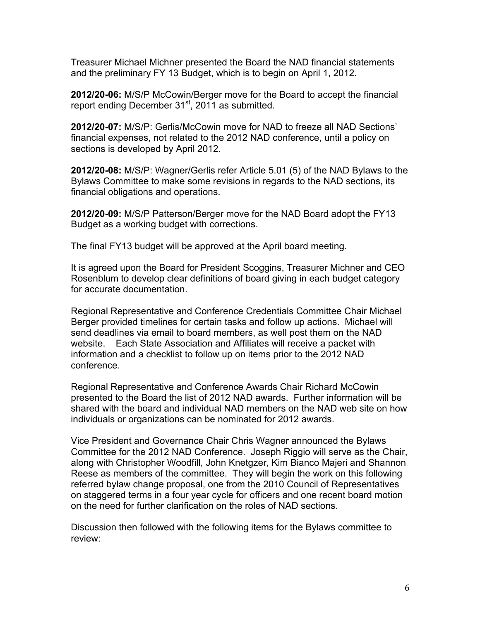Treasurer Michael Michner presented the Board the NAD financial statements and the preliminary FY 13 Budget, which is to begin on April 1, 2012.

**2012/20-06:** M/S/P McCowin/Berger move for the Board to accept the financial report ending December  $31<sup>st</sup>$ , 2011 as submitted.

**2012/20-07:** M/S/P: Gerlis/McCowin move for NAD to freeze all NAD Sections' financial expenses, not related to the 2012 NAD conference, until a policy on sections is developed by April 2012.

**2012/20-08:** M/S/P: Wagner/Gerlis refer Article 5.01 (5) of the NAD Bylaws to the Bylaws Committee to make some revisions in regards to the NAD sections, its financial obligations and operations.

**2012/20-09:** M/S/P Patterson/Berger move for the NAD Board adopt the FY13 Budget as a working budget with corrections.

The final FY13 budget will be approved at the April board meeting.

It is agreed upon the Board for President Scoggins, Treasurer Michner and CEO Rosenblum to develop clear definitions of board giving in each budget category for accurate documentation.

Regional Representative and Conference Credentials Committee Chair Michael Berger provided timelines for certain tasks and follow up actions. Michael will send deadlines via email to board members, as well post them on the NAD website. Each State Association and Affiliates will receive a packet with information and a checklist to follow up on items prior to the 2012 NAD conference.

Regional Representative and Conference Awards Chair Richard McCowin presented to the Board the list of 2012 NAD awards. Further information will be shared with the board and individual NAD members on the NAD web site on how individuals or organizations can be nominated for 2012 awards.

Vice President and Governance Chair Chris Wagner announced the Bylaws Committee for the 2012 NAD Conference. Joseph Riggio will serve as the Chair, along with Christopher Woodfill, John Knetgzer, Kim Bianco Majeri and Shannon Reese as members of the committee. They will begin the work on this following referred bylaw change proposal, one from the 2010 Council of Representatives on staggered terms in a four year cycle for officers and one recent board motion on the need for further clarification on the roles of NAD sections.

Discussion then followed with the following items for the Bylaws committee to review: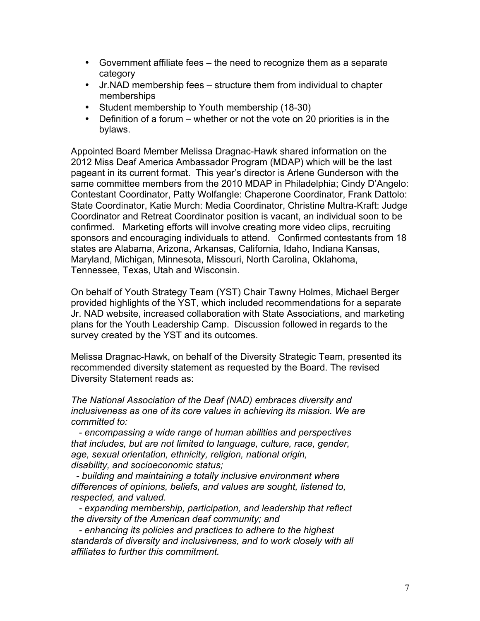- Government affiliate fees the need to recognize them as a separate category
- Jr.NAD membership fees structure them from individual to chapter memberships
- Student membership to Youth membership (18-30)
- Definition of a forum whether or not the vote on 20 priorities is in the bylaws.

Appointed Board Member Melissa Dragnac-Hawk shared information on the 2012 Miss Deaf America Ambassador Program (MDAP) which will be the last pageant in its current format. This year's director is Arlene Gunderson with the same committee members from the 2010 MDAP in Philadelphia; Cindy D'Angelo: Contestant Coordinator, Patty Wolfangle: Chaperone Coordinator, Frank Dattolo: State Coordinator, Katie Murch: Media Coordinator, Christine Multra-Kraft: Judge Coordinator and Retreat Coordinator position is vacant, an individual soon to be confirmed. Marketing efforts will involve creating more video clips, recruiting sponsors and encouraging individuals to attend. Confirmed contestants from 18 states are Alabama, Arizona, Arkansas, California, Idaho, Indiana Kansas, Maryland, Michigan, Minnesota, Missouri, North Carolina, Oklahoma, Tennessee, Texas, Utah and Wisconsin.

On behalf of Youth Strategy Team (YST) Chair Tawny Holmes, Michael Berger provided highlights of the YST, which included recommendations for a separate Jr. NAD website, increased collaboration with State Associations, and marketing plans for the Youth Leadership Camp. Discussion followed in regards to the survey created by the YST and its outcomes.

Melissa Dragnac-Hawk, on behalf of the Diversity Strategic Team, presented its recommended diversity statement as requested by the Board. The revised Diversity Statement reads as:

*The National Association of the Deaf (NAD) embraces diversity and inclusiveness as one of its core values in achieving its mission. We are committed to:*

 *- encompassing a wide range of human abilities and perspectives that includes, but are not limited to language, culture, race, gender, age, sexual orientation, ethnicity, religion, national origin, disability, and socioeconomic status;* 

 *- building and maintaining a totally inclusive environment where differences of opinions, beliefs, and values are sought, listened to, respected, and valued.*

 *- expanding membership, participation, and leadership that reflect the diversity of the American deaf community; and*

 *- enhancing its policies and practices to adhere to the highest standards of diversity and inclusiveness, and to work closely with all affiliates to further this commitment.*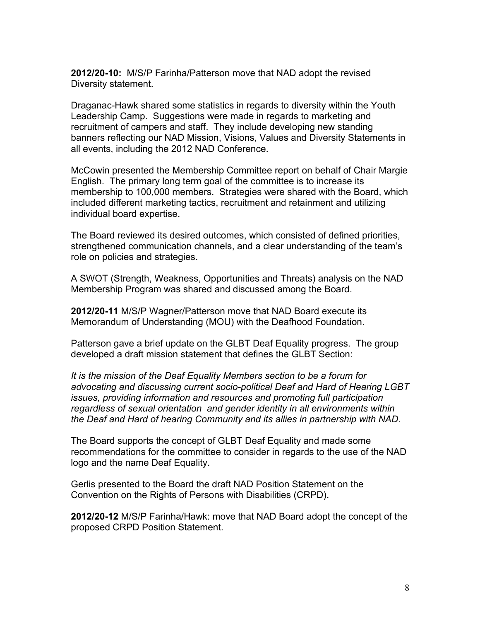**2012/20-10:** M/S/P Farinha/Patterson move that NAD adopt the revised Diversity statement.

Draganac-Hawk shared some statistics in regards to diversity within the Youth Leadership Camp. Suggestions were made in regards to marketing and recruitment of campers and staff. They include developing new standing banners reflecting our NAD Mission, Visions, Values and Diversity Statements in all events, including the 2012 NAD Conference.

McCowin presented the Membership Committee report on behalf of Chair Margie English. The primary long term goal of the committee is to increase its membership to 100,000 members. Strategies were shared with the Board, which included different marketing tactics, recruitment and retainment and utilizing individual board expertise.

The Board reviewed its desired outcomes, which consisted of defined priorities, strengthened communication channels, and a clear understanding of the team's role on policies and strategies.

A SWOT (Strength, Weakness, Opportunities and Threats) analysis on the NAD Membership Program was shared and discussed among the Board.

**2012/20-11** M/S/P Wagner/Patterson move that NAD Board execute its Memorandum of Understanding (MOU) with the Deafhood Foundation.

Patterson gave a brief update on the GLBT Deaf Equality progress. The group developed a draft mission statement that defines the GLBT Section:

*It is the mission of the Deaf Equality Members section to be a forum for advocating and discussing current socio-political Deaf and Hard of Hearing LGBT issues, providing information and resources and promoting full participation regardless of sexual orientation and gender identity in all environments within the Deaf and Hard of hearing Community and its allies in partnership with NAD.*

The Board supports the concept of GLBT Deaf Equality and made some recommendations for the committee to consider in regards to the use of the NAD logo and the name Deaf Equality.

Gerlis presented to the Board the draft NAD Position Statement on the Convention on the Rights of Persons with Disabilities (CRPD).

**2012/20-12** M/S/P Farinha/Hawk: move that NAD Board adopt the concept of the proposed CRPD Position Statement.